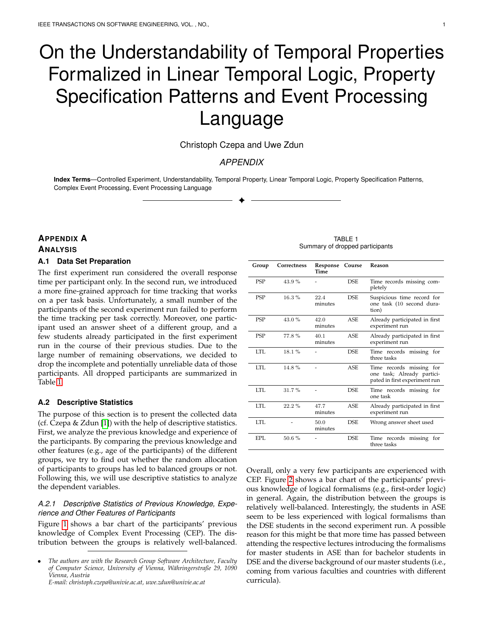# On the Understandability of Temporal Properties Formalized in Linear Temporal Logic, Property Specification Patterns and Event Processing Language

Christoph Czepa and Uwe Zdun

## *APPENDIX*

**Index Terms**—Controlled Experiment, Understandability, Temporal Property, Linear Temporal Logic, Property Specification Patterns, Complex Event Processing, Event Processing Language

✦

# **APPENDIX A ANALYSIS A.1 Data Set Preparation**

<span id="page-0-1"></span>The first experiment run considered the overall response time per participant only. In the second run, we introduced a more fine-grained approach for time tracking that works on a per task basis. Unfortunately, a small number of the participants of the second experiment run failed to perform the time tracking per task correctly. Moreover, one participant used an answer sheet of a different group, and a few students already participated in the first experiment run in the course of their previous studies. Due to the large number of remaining observations, we decided to drop the incomplete and potentially unreliable data of those participants. All dropped participants are summarized in Table [1.](#page-0-0)

#### **A.2 Descriptive Statistics**

The purpose of this section is to present the collected data (cf. Czepa & Zdun [\[1\]](#page-13-0)) with the help of descriptive statistics. First, we analyze the previous knowledge and experience of the participants. By comparing the previous knowledge and other features (e.g., age of the participants) of the different groups, we try to find out whether the random allocation of participants to groups has led to balanced groups or not. Following this, we will use descriptive statistics to analyze the dependent variables.

## *A.2.1 Descriptive Statistics of Previous Knowledge, Experience and Other Features of Participants*

Figure [1](#page-1-0) shows a bar chart of the participants' previous knowledge of Complex Event Processing (CEP). The distribution between the groups is relatively well-balanced.

TABLE 1 Summary of dropped participants

<span id="page-0-0"></span>

| Group      | Correctness | Response Course<br>Time |            | Reason                                                                                  |
|------------|-------------|-------------------------|------------|-----------------------------------------------------------------------------------------|
| <b>PSP</b> | 43.9%       |                         | DSE.       | Time records missing com-<br>pletely                                                    |
| <b>PSP</b> | $16.3\%$    | 22.4<br>minutes         | <b>DSE</b> | Suspicious time record for<br>one task (10 second dura-<br>tion)                        |
| <b>PSP</b> | 43.0%       | 42.0<br>minutes         | ASE.       | Already participated in first<br>experiment run                                         |
| <b>PSP</b> | 77.8%       | 40.1<br>minutes         | ASE.       | Already participated in first<br>experiment run                                         |
| LTL.       | 18.1%       |                         | <b>DSE</b> | Time records missing for<br>three tasks                                                 |
| LTL.       | 14.8%       |                         | ASE.       | Time records missing for<br>one task; Already partici-<br>pated in first experiment run |
| LTL.       | $31.7\%$    |                         | DSE.       | Time records missing for<br>one task                                                    |
| LTL.       | $22.2\%$    | 47.7<br>minutes         | ASE.       | Already participated in first<br>experiment run                                         |
| LTL.       |             | 50.0<br>minutes         | <b>DSE</b> | Wrong answer sheet used                                                                 |
| EPL.       | 50.6%       |                         | <b>DSE</b> | Time records missing<br>for<br>three tasks                                              |

Overall, only a very few participants are experienced with CEP. Figure [2](#page-1-1) shows a bar chart of the participants' previous knowledge of logical formalisms (e.g., first-order logic) in general. Again, the distribution between the groups is relatively well-balanced. Interestingly, the students in ASE seem to be less experienced with logical formalisms than the DSE students in the second experiment run. A possible reason for this might be that more time has passed between attending the respective lectures introducing the formalisms for master students in ASE than for bachelor students in DSE and the diverse background of our master students (i.e., coming from various faculties and countries with different curricula).

<sup>•</sup> *The authors are with the Research Group Software Architecture, Faculty of Computer Science, University of Vienna, W¨ahringerstraße 29, 1090 Vienna, Austria E-mail: christoph.czepa@univie.ac.at, uwe.zdun@univie.ac.at*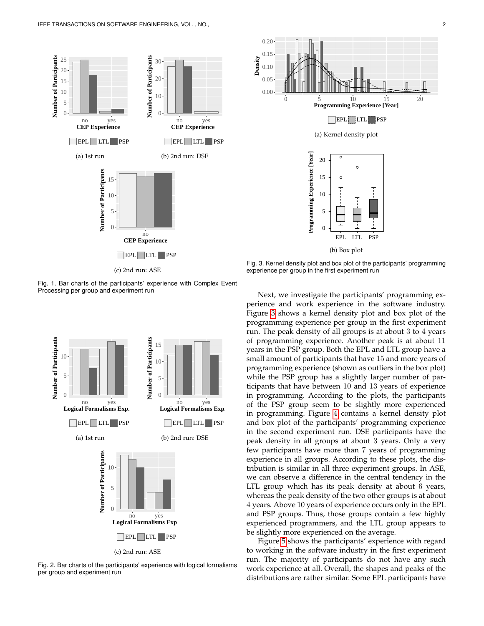

<span id="page-1-0"></span>Fig. 1. Bar charts of the participants' experience with Complex Event Processing per group and experiment run



<span id="page-1-1"></span>Fig. 2. Bar charts of the participants' experience with logical formalisms per group and experiment run



<span id="page-1-2"></span>Fig. 3. Kernel density plot and box plot of the participants' programming experience per group in the first experiment run

Next, we investigate the participants' programming experience and work experience in the software industry. Figure [3](#page-1-2) shows a kernel density plot and box plot of the programming experience per group in the first experiment run. The peak density of all groups is at about 3 to 4 years of programming experience. Another peak is at about 11 years in the PSP group. Both the EPL and LTL group have a small amount of participants that have 15 and more years of programming experience (shown as outliers in the box plot) while the PSP group has a slightly larger number of participants that have between 10 and 13 years of experience in programming. According to the plots, the participants of the PSP group seem to be slightly more experienced in programming. Figure [4](#page-2-0) contains a kernel density plot and box plot of the participants' programming experience in the second experiment run. DSE participants have the peak density in all groups at about 3 years. Only a very few participants have more than 7 years of programming experience in all groups. According to these plots, the distribution is similar in all three experiment groups. In ASE, we can observe a difference in the central tendency in the LTL group which has its peak density at about 6 years, whereas the peak density of the two other groups is at about 4 years. Above 10 years of experience occurs only in the EPL and PSP groups. Thus, those groups contain a few highly experienced programmers, and the LTL group appears to be slightly more experienced on the average.

Figure [5](#page-2-1) shows the participants' experience with regard to working in the software industry in the first experiment run. The majority of participants do not have any such work experience at all. Overall, the shapes and peaks of the distributions are rather similar. Some EPL participants have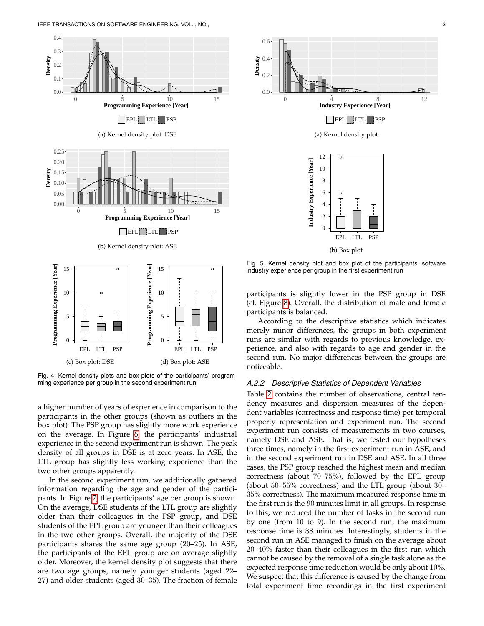

<span id="page-2-0"></span>Fig. 4. Kernel density plots and box plots of the participants' programming experience per group in the second experiment run

a higher number of years of experience in comparison to the participants in the other groups (shown as outliers in the box plot). The PSP group has slightly more work experience on the average. In Figure [6,](#page-3-0) the participants' industrial experience in the second experiment run is shown. The peak density of all groups in DSE is at zero years. In ASE, the LTL group has slightly less working experience than the two other groups apparently.

In the second experiment run, we additionally gathered information regarding the age and gender of the participants. In Figure [7,](#page-4-0) the participants' age per group is shown. On the average, DSE students of the LTL group are slightly older than their colleagues in the PSP group, and DSE students of the EPL group are younger than their colleagues in the two other groups. Overall, the majority of the DSE participants shares the same age group (20–25). In ASE, the participants of the EPL group are on average slightly older. Moreover, the kernel density plot suggests that there are two age groups, namely younger students (aged 22– 27) and older students (aged 30–35). The fraction of female



**Density**

<span id="page-2-1"></span>Fig. 5. Kernel density plot and box plot of the participants' software industry experience per group in the first experiment run

participants is slightly lower in the PSP group in DSE (cf. Figure [8\)](#page-4-1). Overall, the distribution of male and female participants is balanced.

According to the descriptive statistics which indicates merely minor differences, the groups in both experiment runs are similar with regards to previous knowledge, experience, and also with regards to age and gender in the second run. No major differences between the groups are noticeable.

#### *A.2.2 Descriptive Statistics of Dependent Variables*

Table [2](#page-3-1) contains the number of observations, central tendency measures and dispersion measures of the dependent variables (correctness and response time) per temporal property representation and experiment run. The second experiment run consists of measurements in two courses, namely DSE and ASE. That is, we tested our hypotheses three times, namely in the first experiment run in ASE, and in the second experiment run in DSE and ASE. In all three cases, the PSP group reached the highest mean and median correctness (about 70–75%), followed by the EPL group (about 50–55% correctness) and the LTL group (about 30– 35% correctness). The maximum measured response time in the first run is the 90 minutes limit in all groups. In response to this, we reduced the number of tasks in the second run by one (from 10 to 9). In the second run, the maximum response time is 88 minutes. Interestingly, students in the second run in ASE managed to finish on the average about 20–40% faster than their colleagues in the first run which cannot be caused by the removal of a single task alone as the expected response time reduction would be only about 10%. We suspect that this difference is caused by the change from total experiment time recordings in the first experiment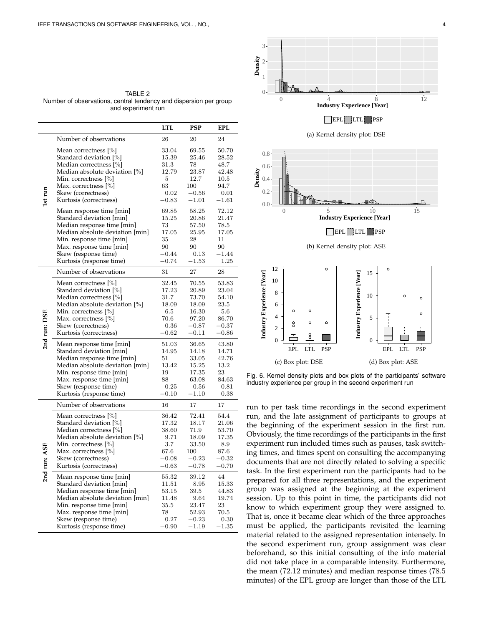<span id="page-3-1"></span>TABLE 2 Number of observations, central tendency and dispersion per group and experiment run

|                                |                                                  | LTL             | PSP                | <b>EPL</b>         |
|--------------------------------|--------------------------------------------------|-----------------|--------------------|--------------------|
|                                | Number of observations                           | 26              | 20                 | 24                 |
| <b>Lst</b> run<br>2nd run: DSE | Mean correctness [%]                             | 33.04           | 69.55              | 50.70              |
|                                | Standard deviation [%]                           | 15.39           | 25.46              | 28.52              |
|                                | Median correctness [%]                           | 31.3            | 78                 | 48.7               |
|                                | Median absolute deviation [%]                    | 12.79           | 23.87              | 42.48              |
|                                | Min. correctness [%]                             | 5               | 12.7               | 10.5               |
|                                | Max. correctness [%]                             | 63              | 100                | 94.7               |
|                                | Skew (correctness)                               | 0.02            | $-0.56$            | 0.01               |
|                                | Kurtosis (correctness)                           | $-0.83$         | $-1.01$            | $-1.61$            |
|                                | Mean response time [min]                         | 69.85           | 58.25              | 72.12              |
|                                | Standard deviation [min]                         | 15.25           | 20.86              | 21.47              |
|                                | Median response time [min]                       | 73              | 57.50              | 78.5               |
|                                | Median absolute deviation [min]                  | 17.05           | 25.95              | 17.05              |
|                                | Min. response time [min]                         | 35              | 28                 | 11                 |
|                                | Max. response time [min]                         | 90              | 90                 | 90                 |
|                                | Skew (response time)                             | $-0.44$         | 0.13               | $-1.44$            |
|                                | Kurtosis (response time)                         | $-0.74$         | $-1.53$            | 1.25               |
|                                | Number of observations                           | 31              | 27                 | 28                 |
|                                | Mean correctness [%]                             | 32.45           | 70.55              | 53.83              |
|                                | Standard deviation [%]                           | 17.23           | 20.89              | 23.04              |
|                                | Median correctness [%]                           | 31.7            | 73.70              | 54.10              |
|                                | Median absolute deviation [%]                    | 18.09           | 18.09              | 23.5               |
|                                | Min. correctness [%]                             | 6.5             | 16.30              | 5.6                |
|                                | Max. correctness [%]                             | 70.6            | 97.20              | 86.70              |
|                                | Skew (correctness)                               | 0.36<br>$-0.62$ | $-0.87$<br>$-0.11$ | $-0.37$<br>$-0.86$ |
|                                | Kurtosis (correctness)                           |                 |                    |                    |
|                                | Mean response time [min]                         | 51.03           | 36.65              | 43.80              |
|                                | Standard deviation [min]                         | 14.95           | 14.18              | 14.71              |
|                                | Median response time [min]                       | 51              | 33.05              | 42.76              |
|                                | Median absolute deviation [min]                  | 13.42           | 15.25              | 13.2<br>23         |
|                                | Min. response time [min]                         | 19<br>88        | 17.35<br>63.08     | 84.63              |
|                                | Max. response time [min]<br>Skew (response time) | 0.25            | 0.56               | 0.81               |
|                                | Kurtosis (response time)                         | $-0.10$         | $-1.10$            | 0.38               |
|                                | Number of observations                           |                 |                    |                    |
|                                |                                                  | 16              | 17                 | 17                 |
|                                | Mean correctness [%]                             | 36.42           | 72.41              | 54.4               |
|                                | Standard deviation [%]                           | 17.32           | 18.17              | 21.06              |
|                                | Median correctness [%]                           | 38.60           | 71.9               | 53.70              |
|                                | Median absolute deviation [%]                    | 9.71            | 18.09              | 17.35              |
|                                | Min. correctness [%]                             | 3.7<br>67.6     | 33.50              | 8.9<br>87.6        |
|                                | Max. correctness [%]                             | $-0.08$         | 100                | $^{ -0.32}$        |
|                                | Skew (correctness)                               | $-0.63$         | $-0.23$<br>$-0.78$ | $-0.70$            |
| 2nd run: ASE                   | Kurtosis (correctness)                           |                 |                    |                    |
|                                | Mean response time [min]                         | 55.32           | 39.12              | 44                 |
|                                | Standard deviation [min]                         | 11.51           | 8.95               | 15.33              |
|                                | Median response time [min]                       | 53.15           | 39.5               | 44.83              |
|                                | Median absolute deviation [min]                  | 11.48           | 9.64               | 19.74              |
|                                | Min. response time [min]                         | 35.5            | 23.47              | 23                 |
|                                | Max. response time [min]                         | 78              | 52.93              | 70.5               |
|                                | Skew (response time)                             | 0.27            | $-0.23$            | 0.30               |
|                                | Kurtosis (response time)                         | $-0.90$         | $-1.19$            | $-1.35$            |



<span id="page-3-0"></span>Fig. 6. Kernel density plots and box plots of the participants' software industry experience per group in the second experiment run

run to per task time recordings in the second experiment run, and the late assignment of participants to groups at the beginning of the experiment session in the first run. Obviously, the time recordings of the participants in the first experiment run included times such as pauses, task switching times, and times spent on consulting the accompanying documents that are not directly related to solving a specific task. In the first experiment run the participants had to be prepared for all three representations, and the experiment group was assigned at the beginning at the experiment session. Up to this point in time, the participants did not know to which experiment group they were assigned to. That is, once it became clear which of the three approaches must be applied, the participants revisited the learning material related to the assigned representation intensely. In the second experiment run, group assignment was clear beforehand, so this initial consulting of the info material did not take place in a comparable intensity. Furthermore, the mean (72.12 minutes) and median response times (78.5 minutes) of the EPL group are longer than those of the LTL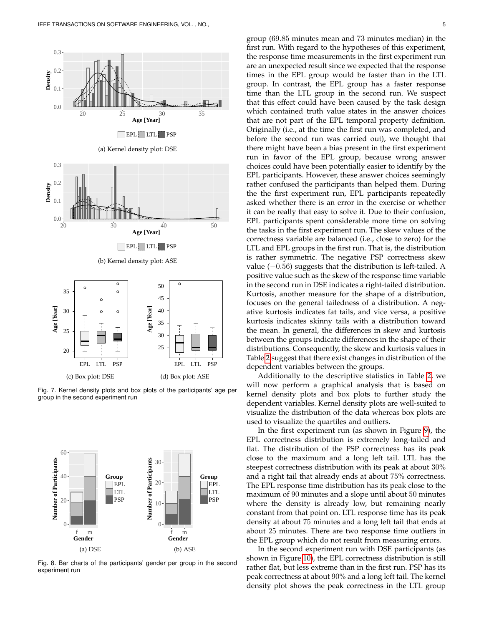

<span id="page-4-0"></span>Fig. 7. Kernel density plots and box plots of the participants' age per group in the second experiment run



<span id="page-4-1"></span>Fig. 8. Bar charts of the participants' gender per group in the second experiment run

group (69.85 minutes mean and 73 minutes median) in the first run. With regard to the hypotheses of this experiment, the response time measurements in the first experiment run are an unexpected result since we expected that the response times in the EPL group would be faster than in the LTL group. In contrast, the EPL group has a faster response time than the LTL group in the second run. We suspect that this effect could have been caused by the task design which contained truth value states in the answer choices that are not part of the EPL temporal property definition. Originally (i.e., at the time the first run was completed, and before the second run was carried out), we thought that there might have been a bias present in the first experiment run in favor of the EPL group, because wrong answer choices could have been potentially easier to identify by the EPL participants. However, these answer choices seemingly rather confused the participants than helped them. During the the first experiment run, EPL participants repeatedly asked whether there is an error in the exercise or whether it can be really that easy to solve it. Due to their confusion, EPL participants spent considerable more time on solving the tasks in the first experiment run. The skew values of the correctness variable are balanced (i.e., close to zero) for the LTL and EPL groups in the first run. That is, the distribution is rather symmetric. The negative PSP correctness skew value  $(-0.56)$  suggests that the distribution is left-tailed. A positive value such as the skew of the response time variable in the second run in DSE indicates a right-tailed distribution. Kurtosis, another measure for the shape of a distribution, focuses on the general tailedness of a distribution. A negative kurtosis indicates fat tails, and vice versa, a positive kurtosis indicates skinny tails with a distribution toward the mean. In general, the differences in skew and kurtosis between the groups indicate differences in the shape of their distributions. Consequently, the skew and kurtosis values in Table [2](#page-3-1) suggest that there exist changes in distribution of the dependent variables between the groups.

Additionally to the descriptive statistics in Table [2,](#page-3-1) we will now perform a graphical analysis that is based on kernel density plots and box plots to further study the dependent variables. Kernel density plots are well-suited to visualize the distribution of the data whereas box plots are used to visualize the quartiles and outliers.

In the first experiment run (as shown in Figure [9\)](#page-5-0), the EPL correctness distribution is extremely long-tailed and flat. The distribution of the PSP correctness has its peak close to the maximum and a long left tail. LTL has the steepest correctness distribution with its peak at about 30% and a right tail that already ends at about 75% correctness. The EPL response time distribution has its peak close to the maximum of 90 minutes and a slope until about 50 minutes where the density is already low, but remaining nearly constant from that point on. LTL response time has its peak density at about 75 minutes and a long left tail that ends at about 25 minutes. There are two response time outliers in the EPL group which do not result from measuring errors.

In the second experiment run with DSE participants (as shown in Figure [10\)](#page-5-1), the EPL correctness distribution is still rather flat, but less extreme than in the first run. PSP has its peak correctness at about 90% and a long left tail. The kernel density plot shows the peak correctness in the LTL group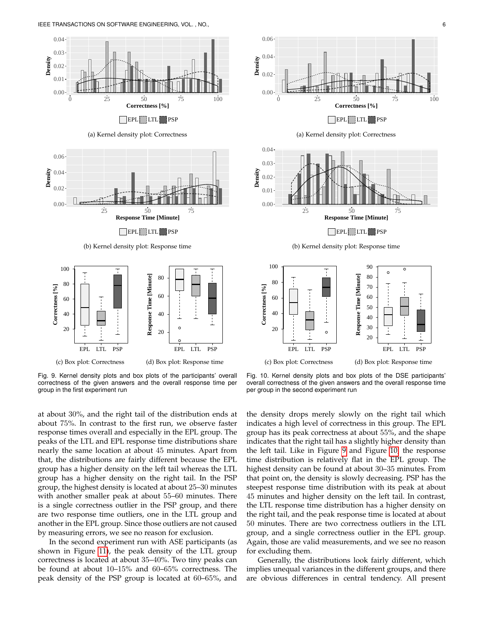

<span id="page-5-0"></span>Fig. 9. Kernel density plots and box plots of the participants' overall correctness of the given answers and the overall response time per group in the first experiment run

<span id="page-5-1"></span>Fig. 10. Kernel density plots and box plots of the DSE participants' overall correctness of the given answers and the overall response time per group in the second experiment run

at about 30%, and the right tail of the distribution ends at about 75%. In contrast to the first run, we observe faster response times overall and especially in the EPL group. The peaks of the LTL and EPL response time distributions share nearly the same location at about 45 minutes. Apart from that, the distributions are fairly different because the EPL group has a higher density on the left tail whereas the LTL group has a higher density on the right tail. In the PSP group, the highest density is located at about 25–30 minutes with another smaller peak at about 55–60 minutes. There is a single correctness outlier in the PSP group, and there are two response time outliers, one in the LTL group and another in the EPL group. Since those outliers are not caused by measuring errors, we see no reason for exclusion.

In the second experiment run with ASE participants (as shown in Figure [11\)](#page-6-0), the peak density of the LTL group correctness is located at about 35–40%. Two tiny peaks can be found at about 10–15% and 60–65% correctness. The peak density of the PSP group is located at 60–65%, and the density drops merely slowly on the right tail which indicates a high level of correctness in this group. The EPL group has its peak correctness at about 55%, and the shape indicates that the right tail has a slightly higher density than the left tail. Like in Figure [9](#page-5-0) and Figure [10,](#page-5-1) the response time distribution is relatively flat in the EPL group. The highest density can be found at about 30–35 minutes. From that point on, the density is slowly decreasing. PSP has the steepest response time distribution with its peak at about 45 minutes and higher density on the left tail. In contrast, the LTL response time distribution has a higher density on the right tail, and the peak response time is located at about 50 minutes. There are two correctness outliers in the LTL group, and a single correctness outlier in the EPL group. Again, those are valid measurements, and we see no reason for excluding them.

Generally, the distributions look fairly different, which implies unequal variances in the different groups, and there are obvious differences in central tendency. All present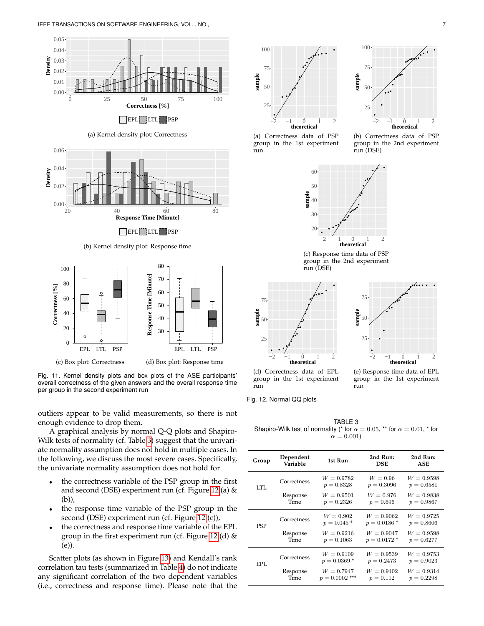

EPL LTL PSP

(a) Kernel density plot: Correctness



(b) Kernel density plot: Response time



<span id="page-6-0"></span>Fig. 11. Kernel density plots and box plots of the ASE participants' overall correctness of the given answers and the overall response time per group in the second experiment run

outliers appear to be valid measurements, so there is not enough evidence to drop them.

A graphical analysis by normal Q-Q plots and Shapiro-Wilk tests of normality (cf. Table [3\)](#page-6-1) suggest that the univariate normality assumption does not hold in multiple cases. In the following, we discuss the most severe cases. Specifically, the univariate normality assumption does not hold for

- the correctness variable of the PSP group in the first and second (DSE) experiment run (cf. Figure [12](#page-6-2) (a) & (b)),
- the response time variable of the PSP group in the second (DSE) experiment run (cf. Figure [12](#page-6-2) (c)),
- the correctness and response time variable of the EPL group in the first experiment run (cf. Figure [12](#page-6-2) (d)  $&$ (e)).

Scatter plots (as shown in Figure [13\)](#page-7-0) and Kendall's rank correlation tau tests (summarized in Table [4\)](#page-7-1) do not indicate any significant correlation of the two dependent variables





(a) Correctness data of PSP group in the 1st experiment run

(b) Correctness data of PSP group in the 2nd experiment run (DSE)



(c) Response time data of PSP group in the 2nd experiment run (DSE)





(d) Correctness data of EPL group in the 1st experiment run

(e) Response time data of EPL group in the 1st experiment run

<span id="page-6-2"></span>Fig. 12. Normal QQ plots

<span id="page-6-1"></span>TABLE 3 Shapiro-Wilk test of normality (\* for  $\alpha = 0.05$ , \*\* for  $\alpha = 0.01$ , \* for  $\alpha = 0.001$ 

| Group | Dependent<br>Variable | 1st Run                          | 2nd Run:<br><b>DSE</b>         | 2nd Run:<br><b>ASE</b>       |
|-------|-----------------------|----------------------------------|--------------------------------|------------------------------|
| LTL.  | Correctness           | $W = 0.9782$<br>$p = 0.8328$     | $W = 0.96$<br>$p = 0.3096$     | $W = 0.9598$<br>$p = 0.6581$ |
|       | Response<br>Time      | $W = 0.9501$<br>$p = 0.2326$     | $W = 0.976$<br>$p = 0.696$     | $W = 0.9838$<br>$p = 0.9867$ |
| PSP   | Correctness           | $W = 0.902$<br>$p = 0.045*$      | $W = 0.9062$<br>$p = 0.0186*$  | $W = 0.9725$<br>$p = 0.8606$ |
|       | Response<br>Time      | $W = 0.9216$<br>$p = 0.1063$     | $W = 0.9047$<br>$p = 0.0172$ * | $W = 0.9598$<br>$p = 0.6277$ |
| EPL.  | Correctness           | $W = 0.9109$<br>$p = 0.0369*$    | $W = 0.9539$<br>$p = 0.2473$   | $W = 0.9753$<br>$p = 0.9023$ |
|       | Response<br>Time      | $W = 0.7947$<br>$p = 0.0002$ *** | $W = 0.9402$<br>$p = 0.112$    | $W = 0.9314$<br>$p = 0.2298$ |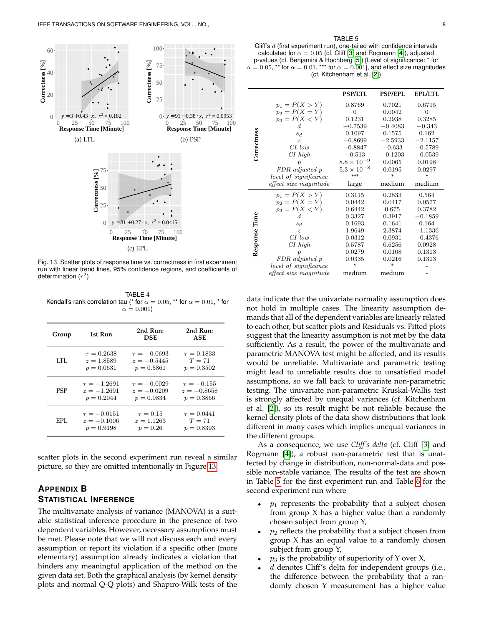

<span id="page-7-0"></span>Fig. 13. Scatter plots of response time vs. correctness in first experiment run with linear trend lines, 95% confidence regions, and coefficients of determination  $(r^2)$ 

<span id="page-7-1"></span>TABLE 4 Kendall's rank correlation tau (\* for  $\alpha = 0.05$ , \*\* for  $\alpha = 0.01$ , \* for  $\alpha = 0.001$ 

| Group      | 1st Run          | 2nd Run:<br><b>DSE</b> | 2nd Run:<br>ASE |
|------------|------------------|------------------------|-----------------|
| LTL.       | $\tau = 0.2638$  | $\tau = -0.0693$       | $\tau = 0.1833$ |
|            | $z = 1.8589$     | $z = -0.5445$          | $T = 71$        |
|            | $p = 0.0631$     | $p = 0.5861$           | $p = 0.3502$    |
| <b>PSP</b> | $\tau = -1.2691$ | $\tau = -0.0029$       | $\tau = -0.155$ |
|            | $z = -1.2691$    | $z = -0.0209$          | $z = -0.8658$   |
|            | $p = 0.2044$     | $p = 0.9834$           | $p = 0.3866$    |
| EPL.       | $\tau = -0.0151$ | $\tau = 0.15$          | $\tau = 0.0441$ |
|            | $z = -0.1006$    | $z = 1.1263$           | $T = 71$        |
|            | $p = 0.9198$     | $p = 0.26$             | $p = 0.8393$    |

scatter plots in the second experiment run reveal a similar picture, so they are omitted intentionally in Figure [13.](#page-7-0)

## **APPENDIX B STATISTICAL INFERENCE**

The multivariate analysis of variance (MANOVA) is a suitable statistical inference procedure in the presence of two dependent variables. However, necessary assumptions must be met. Please note that we will not discuss each and every assumption or report its violation if a specific other (more elementary) assumption already indicates a violation that hinders any meaningful application of the method on the given data set. Both the graphical analysis (by kernel density plots and normal Q-Q plots) and Shapiro-Wilk tests of the

#### TABLE 5

<span id="page-7-2"></span>Cliff's  $d$  (first experiment run), one-tailed with confidence intervals calculated for  $\alpha = 0.05$  (cf. Cliff [\[3\]](#page-14-0) and Rogmann [\[4\]](#page-14-1)), adjusted p-values (cf. Benjamini & Hochberg [\[5\]](#page-14-2)) [Level of significance: \* for  $\alpha = 0.05$ , \*\* for  $\alpha = 0.01$ , \*\*\* for  $\alpha = 0.001$ ], and effect size magnitudes (cf. Kitchenham et al. [\[2\]](#page-13-1))

|             |                       | <b>PSP/LTL</b>       | <b>PSP/EPL</b> | <b>EPL/LTL</b> |
|-------------|-----------------------|----------------------|----------------|----------------|
|             | $p_1 = P(X > Y)$      | 0.8769               | 0.7021         | 0.6715         |
|             | $p_2 = P(X = Y)$      | 0                    | 0.0042         | 0              |
|             | $p_3 = P(X < Y)$      | 0.1231               | 0.2938         | 0.3285         |
|             | d.                    | $-0.7539$            | $-0.4083$      | $-0.343$       |
| Correctness | $s_d$                 | 0.1097               | 0.1575         | 0.162          |
|             | $\boldsymbol{z}$      | $-6.8699$            | $-2.5933$      | $-2.1157$      |
|             | $CI$ low              | $-0.8847$            | $-0.633$       | $-0.5789$      |
|             | $CI$ high             | $-0.513$             | $-0.1203$      | $-0.0539$      |
|             | р                     | $8.8 \times 10^{-9}$ | 0.0065         | 0.0198         |
|             | FDR adjusted p        | $5.3 \times 10^{-8}$ | 0.0195         | 0.0297         |
|             | level of significance | ***                  | ×              | ×              |
|             | effect size magnitude | large                | medium         | medium         |
|             | $p_1 = P(X > Y)$      | 0.3115               | 0.2833         | 0.564          |
|             | $p_2 = P(X = Y)$      | 0.0442               | 0.0417         | 0.0577         |
|             | $p_3 = P(X < Y)$      | 0.6442               | 0.675          | 0.3782         |
| Time        |                       | 0.3327               | 0.3917         | $-0.1859$      |
|             | $s_d$                 | 0.1693               | 0.1641         | 0.164          |
|             | $\boldsymbol{z}$      | 1.9649               | 2.3874         | $-1.1336$      |
|             | $CI$ low              | 0.0312               | 0.0931         | $-0.4376$      |
|             | $CI$ high             | 0.5787               | 0.6256         | 0.0928         |
| Response    |                       | 0.0279               | 0.0108         | 0.1313         |
|             | FDR adjusted p        | 0.0335               | 0.0216         | 0.1313         |
|             | level of significance | ×                    | si.            |                |
|             | effect size magnitude | medium               | medium         |                |

data indicate that the univariate normality assumption does not hold in multiple cases. The linearity assumption demands that all of the dependent variables are linearly related to each other, but scatter plots and Residuals vs. Fitted plots suggest that the linearity assumption is not met by the data sufficiently. As a result, the power of the multivariate and parametric MANOVA test might be affected, and its results would be unreliable. Multivariate and parametric testing might lead to unreliable results due to unsatisfied model assumptions, so we fall back to univariate non-parametric testing. The univariate non-parametric Kruskal-Wallis test is strongly affected by unequal variances (cf. Kitchenham et al. [\[2\]](#page-13-1)), so its result might be not reliable because the kernel density plots of the data show distributions that look different in many cases which implies unequal variances in the different groups.

As a consequence, we use *Cliff's delta* (cf. Cliff [\[3\]](#page-14-0) and Rogmann [\[4\]](#page-14-1)), a robust non-parametric test that is unaffected by change in distribution, non-normal-data and possible non-stable variance. The results of the test are shown in Table [5](#page-7-2) for the first experiment run and Table [6](#page-8-0) for the second experiment run where

- $p_1$  represents the probability that a subject chosen from group X has a higher value than a randomly chosen subject from group Y,
- $p_2$  reflects the probability that a subject chosen from group X has an equal value to a randomly chosen subject from group Y,
- $p_3$  is the probability of superiority of Y over X,
- $d$  denotes Cliff's delta for independent groups (i.e., the difference between the probability that a randomly chosen Y measurement has a higher value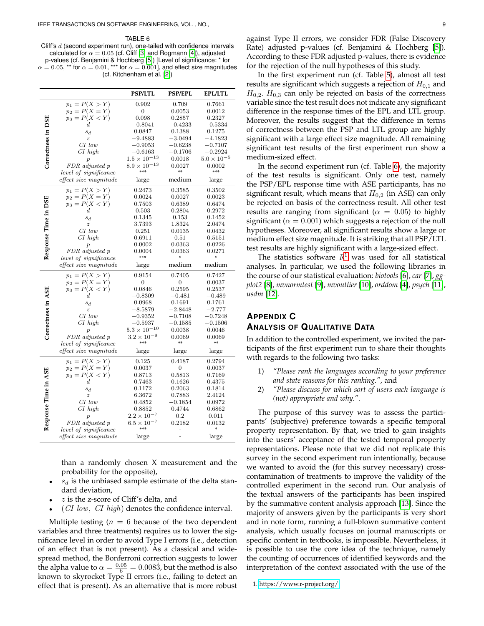<span id="page-8-0"></span>TABLE 6 Cliff's d (second experiment run), one-tailed with confidence intervals calculated for  $\alpha = 0.05$  (cf. Cliff [\[3\]](#page-14-0) and Rogmann [\[4\]](#page-14-1)), adjusted p-values (cf. Benjamini & Hochberg [\[5\]](#page-14-2)) [Level of significance: \* for  $\alpha = 0.05$ , \*\* for  $\alpha = 0.01$ , \*\*\* for  $\alpha = 0.001$ ], and effect size magnitudes (cf. Kitchenham et al. [\[2\]](#page-13-1))

|                      |                       | <b>PSP/LTL</b>              | <b>PSP/EPL</b>   | <b>EPL/LTL</b>       |
|----------------------|-----------------------|-----------------------------|------------------|----------------------|
|                      | $p_1 = P(X > Y)$      | 0.902                       | 0.709            | 0.7661               |
|                      | $p_2 = P(X = Y)$      | 0                           | 0.0053           | 0.0012               |
|                      | $p_3 = P(X < Y)$      | 0.098                       | 0.2857           | 0.2327               |
|                      | $_{d}$                | $-0.8041$                   | $-0.4233$        | $-0.5334$            |
|                      | $s_d$                 | 0.0847                      | 0.1388           | 0.1275               |
|                      | $\boldsymbol{z}$      | $-9.4883$                   | $-3.0494$        | $-4.1823$            |
|                      | $CI$ low              | $-0.9053$                   | $-0.6238$        | $-0.7107$            |
|                      | $CI$ high             | $^{-0.6163}$                | $-0.1706$        | $-0.2924$            |
|                      | $\boldsymbol{p}$      | $1.5 \times 10^{-13}$       | 0.0018           | $5.0 \times 10^{-5}$ |
| Correctness in DSE   | FDR adjusted p        | $8.9 \times 10^{-13}$       | 0.0027           | 0.0002               |
|                      | level of significance | ***                         | **               | ***                  |
|                      | effect size magnitude | large                       | medium           | large                |
|                      | $p_1 = P(X > Y)$      | 0.2473                      | 0.3585           | 0.3502               |
|                      | $p_2 = P(X = Y)$      | 0.0024                      | 0.0027           | 0.0023               |
|                      | $p_3 = P(X < Y)$      | 0.7503                      | 0.6389           | 0.6474               |
|                      | d.                    | 0.503                       | 0.2804           | 0.2972               |
|                      | $s_d$                 | 0.1345                      | 0.153            | 0.1452               |
|                      | $\boldsymbol{z}$      | 3.7393                      | 1.8324           | 2.0474               |
|                      | $CI$ low              | 0.251                       | 0.0135           | 0.0432               |
|                      | $CI$ high             | 0.6911                      | 0.51             | 0.5151               |
|                      | $\overline{p}$        | 0.0002                      | 0.0363           | 0.0226               |
| Response Time in DSE | FDR adjusted p        | 0.0004                      | 0.0363           | 0.0271               |
|                      | level of significance | ***                         | ÷                |                      |
|                      | effect size magnitude | large                       | medium           | medium               |
|                      | $p_1 = P(X > Y)$      | 0.9154                      | 0.7405           | 0.7427               |
|                      | $p_2 = P(X = Y)$      | 0                           | $\boldsymbol{0}$ | 0.0037               |
|                      | $p_3 = P(X < Y)$      | 0.0846                      | 0.2595           | 0.2537               |
|                      | d                     | $-0.8309$                   | $-0.481$         | $-0.489$             |
|                      | $s_d$                 | 0.0968                      | 0.1691           | 0.1761               |
|                      | $\boldsymbol{z}$      | $^{-8.5879}$                | $-2.8448$        | $^{-2.777}$          |
|                      | CI low                | $^{\rm -0.9352}$            | $-0.7108$        | $-0.7248$            |
|                      | $CI$ high             | $^{\rm -0.5937}$            | $^{-0.1585}$     | $-0.1506$            |
| Correctness in ASE   | $\boldsymbol{p}$      | $5.3 \times 10^{-10}$       | 0.0038           | 0.0046               |
|                      | FDR adjusted p        | $3.2 \times 10^{-9}$        | 0.0069           | 0.0069               |
|                      | level of significance | ***                         | **               | **                   |
|                      | effect size magnitude | large                       | large            | large                |
|                      | $p_1 = P(X > Y)$      | 0.125                       | 0.4187           | 0.2794               |
|                      | $p_2 = P(X = Y)$      | 0.0037                      | $\boldsymbol{0}$ | 0.0037               |
|                      | $p_3 = P(X < Y)$      | 0.8713                      | 0.5813           | 0.7169               |
|                      | d.                    | 0.7463                      | 0.1626           | 0.4375               |
|                      | $s_d$                 | 0.1172                      | 0.2063           | 0.1814               |
|                      | $\boldsymbol{z}$      | 6.3672                      | 0.7883           | 2.4124               |
|                      | $CI$ low              | 0.4852                      | $-0.1854$        | 0.0972               |
|                      | $CI$ high             | 0.8852                      | 0.4744           | 0.6862               |
|                      | $\boldsymbol{p}$      | $2.2 \times 10^{-7}$        | 0.2              | 0.011                |
| Response Time in ASE | FDR adjusted p        | $6.5 \times 10^{-7}$<br>*** | 0.2182           | 0.0132               |
|                      | level of significance |                             |                  |                      |
|                      | effect size magnitude | large                       |                  | large                |

than a randomly chosen X measurement and the probability for the opposite),

- $s_d$  is the unbiased sample estimate of the delta standard deviation,
- $z$  is the z-score of Cliff's delta, and
- (*CI low, CI high*) denotes the confidence interval.

Multiple testing ( $n = 6$  because of the two dependent variables and three treatments) requires us to lower the significance level in order to avoid Type I errors (i.e., detection of an effect that is not present). As a classical and widespread method, the Bonferroni correction suggests to lower the alpha value to  $\alpha = \frac{0.05}{6} = 0.0083$ , but the method is also known to skyrocket Type II errors (i.e., failing to detect an effect that is present). As an alternative that is more robust against Type II errors, we consider FDR (False Discovery Rate) adjusted p-values (cf. Benjamini & Hochberg [\[5\]](#page-14-2)). According to these FDR adjusted p-values, there is evidence for the rejection of the null hypotheses of this study.

In the first experiment run (cf. Table [5\)](#page-7-2), almost all test results are significant which suggests a rejection of  $H_{0,1}$  and  $H_{0,2}$ .  $H_{0,3}$  can only be rejected on basis of the correctness variable since the test result does not indicate any significant difference in the response times of the EPL and LTL group. Moreover, the results suggest that the difference in terms of correctness between the PSP and LTL group are highly significant with a large effect size magnitude. All remaining significant test results of the first experiment run show a medium-sized effect.

In the second experiment run (cf. Table [6\)](#page-8-0), the majority of the test results is significant. Only one test, namely the PSP/EPL response time with ASE participants, has no significant result, which means that  $H_{0,2}$  (in ASE) can only be rejected on basis of the correctness result. All other test results are ranging from significant ( $\alpha = 0.05$ ) to highly significant ( $\alpha = 0.001$ ) which suggests a rejection of the null hypotheses. Moreover, all significant results show a large or medium effect size magnitude. It is striking that all PSP/LTL test results are highly significant with a large-sized effect.

The statistics software *R* [1](#page-8-1) was used for all statistical analyses. In particular, we used the following libraries in the course of our statistical evaluation: *biotools* [\[6\]](#page-14-3), *car* [\[7\]](#page-14-4), *ggplot2* [\[8\]](#page-14-5), *mvnormtest* [\[9\]](#page-14-6), *mvoutlier* [\[10\]](#page-14-7), *orddom* [\[4\]](#page-14-1), *psych* [\[11\]](#page-14-8), *usdm* [\[12\]](#page-14-9).

## **APPENDIX C ANALYSIS OF QUALITATIVE DATA**

In addition to the controlled experiment, we invited the participants of the first experiment run to share their thoughts with regards to the following two tasks:

- 1) *"Please rank the languages according to your preference and state reasons for this ranking."*, and
- 2) *"Please discuss for which sort of users each language is (not) appropriate and why."*.

The purpose of this survey was to assess the participants' (subjective) preference towards a specific temporal property representation. By that, we tried to gain insights into the users' acceptance of the tested temporal property representations. Please note that we did not replicate this survey in the second experiment run intentionally, because we wanted to avoid the (for this survey necessary) crosscontamination of treatments to improve the validity of the controlled experiment in the second run. Our analysis of the textual answers of the participants has been inspired by the summative content analysis approach [\[13\]](#page-14-10). Since the majority of answers given by the participants is very short and in note form, running a full-blown summative content analysis, which usually focuses on journal manuscripts or specific content in textbooks, is impossible. Nevertheless, it is possible to use the core idea of the technique, namely the counting of occurrences of identified keywords and the interpretation of the context associated with the use of the

<span id="page-8-1"></span>1.<https://www.r-project.org/>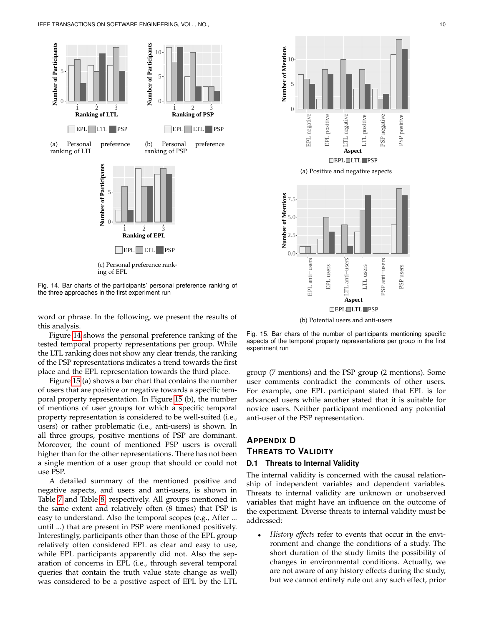

<span id="page-9-0"></span>Fig. 14. Bar charts of the participants' personal preference ranking of the three approaches in the first experiment run

word or phrase. In the following, we present the results of this analysis.

Figure [14](#page-9-0) shows the personal preference ranking of the tested temporal property representations per group. While the LTL ranking does not show any clear trends, the ranking of the PSP representations indicates a trend towards the first place and the EPL representation towards the third place.

Figure [15](#page-9-1) (a) shows a bar chart that contains the number of users that are positive or negative towards a specific temporal property representation. In Figure [15](#page-9-1) (b), the number of mentions of user groups for which a specific temporal property representation is considered to be well-suited (i.e., users) or rather problematic (i.e., anti-users) is shown. In all three groups, positive mentions of PSP are dominant. Moreover, the count of mentioned PSP users is overall higher than for the other representations. There has not been a single mention of a user group that should or could not use PSP.

A detailed summary of the mentioned positive and negative aspects, and users and anti-users, is shown in Table [7](#page-10-0) and Table [8,](#page-10-1) respectively. All groups mentioned in the same extent and relatively often (8 times) that PSP is easy to understand. Also the temporal scopes (e.g., After ... until ...) that are present in PSP were mentioned positively. Interestingly, participants other than those of the EPL group relatively often considered EPL as clear and easy to use, while EPL participants apparently did not. Also the separation of concerns in EPL (i.e., through several temporal queries that contain the truth value state change as well) was considered to be a positive aspect of EPL by the LTL



<span id="page-9-1"></span>Fig. 15. Bar chars of the number of participants mentioning specific aspects of the temporal property representations per group in the first experiment run

group (7 mentions) and the PSP group (2 mentions). Some user comments contradict the comments of other users. For example, one EPL participant stated that EPL is for advanced users while another stated that it is suitable for novice users. Neither participant mentioned any potential anti-user of the PSP representation.

## **APPENDIX D THREATS TO VALIDITY**

## **D.1 Threats to Internal Validity**

The internal validity is concerned with the causal relationship of independent variables and dependent variables. Threats to internal validity are unknown or unobserved variables that might have an influence on the outcome of the experiment. Diverse threats to internal validity must be addressed:

• *History effects* refer to events that occur in the environment and change the conditions of a study. The short duration of the study limits the possibility of changes in environmental conditions. Actually, we are not aware of any history effects during the study, but we cannot entirely rule out any such effect, prior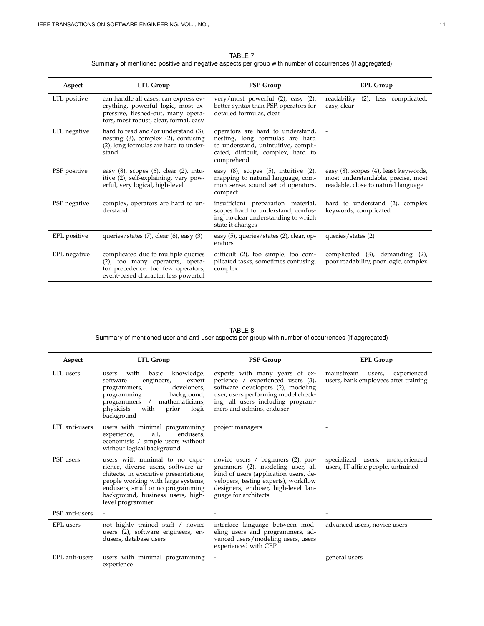| TABLE 7                                                                                                 |
|---------------------------------------------------------------------------------------------------------|
| Summary of mentioned positive and negative aspects per group with number of occurrences (if aggregated) |

<span id="page-10-0"></span>

| Aspect       | LTL Group                                                                                                                                                   | <b>PSP Group</b>                                                                                                                                                | <b>EPL Group</b>                                                                                                   |
|--------------|-------------------------------------------------------------------------------------------------------------------------------------------------------------|-----------------------------------------------------------------------------------------------------------------------------------------------------------------|--------------------------------------------------------------------------------------------------------------------|
| LTL positive | can handle all cases, can express ev-<br>erything, powerful logic, most ex-<br>pressive, fleshed-out, many opera-<br>tors, most robust, clear, formal, easy | very/most powerful $(2)$ , easy $(2)$ ,<br>better syntax than PSP, operators for<br>detailed formulas, clear                                                    | readability<br>(2), less complicated,<br>easy, clear                                                               |
| LTL negative | hard to read and/or understand $(3)$ ,<br>nesting $(3)$ , complex $(2)$ , confusing<br>(2), long formulas are hard to under-<br>stand                       | operators are hard to understand,<br>nesting, long formulas are hard<br>to understand, unintuitive, compli-<br>cated, difficult, complex, hard to<br>comprehend |                                                                                                                    |
| PSP positive | easy $(8)$ , scopes $(6)$ , clear $(2)$ , intu-<br>itive (2), self-explaining, very pow-<br>erful, very logical, high-level                                 | easy (8), scopes (5), intuitive (2),<br>mapping to natural language, com-<br>mon sense, sound set of operators,<br>compact                                      | easy (8), scopes (4), least keywords,<br>most understandable, precise, most<br>readable, close to natural language |
| PSP negative | complex, operators are hard to un-<br>derstand                                                                                                              | insufficient preparation material,<br>scopes hard to understand, confus-<br>ing, no clear understanding to which<br>state it changes                            | hard to understand (2), complex<br>keywords, complicated                                                           |
| EPL positive | queries/states $(7)$ , clear $(6)$ , easy $(3)$                                                                                                             | easy (5), queries/states (2), clear, op-<br>erators                                                                                                             | queries/states (2)                                                                                                 |
| EPL negative | complicated due to multiple queries<br>(2), too many operators, opera-<br>tor precedence, too few operators,<br>event-based character, less powerful        | difficult $(2)$ , too simple, too com-<br>plicated tasks, sometimes confusing,<br>complex                                                                       | complicated (3), demanding (2),<br>poor readability, poor logic, complex                                           |

TABLE 8 Summary of mentioned user and anti-user aspects per group with number of occurrences (if aggregated)

<span id="page-10-1"></span>

| Aspect         | <b>LTL Group</b>                                                                                                                                                                                                                                   | <b>PSP Group</b>                                                                                                                                                                                                       | <b>EPL Group</b>                                                            |
|----------------|----------------------------------------------------------------------------------------------------------------------------------------------------------------------------------------------------------------------------------------------------|------------------------------------------------------------------------------------------------------------------------------------------------------------------------------------------------------------------------|-----------------------------------------------------------------------------|
| LTL users      | with<br>basic<br>knowledge,<br>users<br>software<br>engineers,<br>expert<br>developers,<br>programmers,<br>programming<br>background,<br>mathematicians,<br>$\sqrt{2}$<br>programmers<br>physicists<br>with<br>prior<br>logic<br>background        | experts with many years of ex-<br>perience / experienced users (3),<br>software developers (2), modeling<br>user, users performing model check-<br>ing, all users including program-<br>mers and admins, enduser       | mainstream<br>experienced<br>users,<br>users, bank employees after training |
| LTL anti-users | users with minimal programming<br>all,<br>endusers,<br>experience,<br>economists / simple users without<br>without logical background                                                                                                              | project managers                                                                                                                                                                                                       |                                                                             |
| PSP users      | users with minimal to no expe-<br>rience, diverse users, software ar-<br>chitects, in executive presentations,<br>people working with large systems,<br>endusers, small or no programming<br>background, business users, high-<br>level programmer | novice users / beginners (2), pro-<br>grammers (2), modeling user, all<br>kind of users (application users, de-<br>velopers, testing experts), workflow<br>designers, enduser, high-level lan-<br>guage for architects | specialized users, unexperienced<br>users, IT-affine people, untrained      |
| PSP anti-users |                                                                                                                                                                                                                                                    |                                                                                                                                                                                                                        |                                                                             |
| EPL users      | not highly trained staff / novice<br>users (2), software engineers, en-<br>dusers, database users                                                                                                                                                  | interface language between mod-<br>eling users and programmers, ad-<br>vanced users/modeling users, users<br>experienced with CEP                                                                                      | advanced users, novice users                                                |
| EPL anti-users | users with minimal programming<br>experience                                                                                                                                                                                                       |                                                                                                                                                                                                                        | general users                                                               |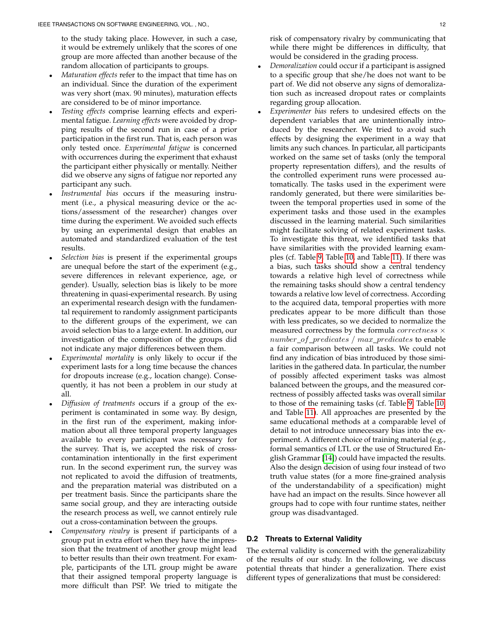to the study taking place. However, in such a case, it would be extremely unlikely that the scores of one group are more affected than another because of the random allocation of participants to groups.

- *Maturation effects* refer to the impact that time has on an individual. Since the duration of the experiment was very short (max. 90 minutes), maturation effects are considered to be of minor importance.
- *Testing effects* comprise learning effects and experimental fatigue. *Learning effects* were avoided by dropping results of the second run in case of a prior participation in the first run. That is, each person was only tested once. *Experimental fatigue* is concerned with occurrences during the experiment that exhaust the participant either physically or mentally. Neither did we observe any signs of fatigue nor reported any participant any such.
- *Instrumental bias* occurs if the measuring instrument (i.e., a physical measuring device or the actions/assessment of the researcher) changes over time during the experiment. We avoided such effects by using an experimental design that enables an automated and standardized evaluation of the test results.
- *Selection bias* is present if the experimental groups are unequal before the start of the experiment (e.g., severe differences in relevant experience, age, or gender). Usually, selection bias is likely to be more threatening in quasi-experimental research. By using an experimental research design with the fundamental requirement to randomly assignment participants to the different groups of the experiment, we can avoid selection bias to a large extent. In addition, our investigation of the composition of the groups did not indicate any major differences between them.
- *Experimental mortality* is only likely to occur if the experiment lasts for a long time because the chances for dropouts increase (e.g., location change). Consequently, it has not been a problem in our study at all.
- *Diffusion of treatments* occurs if a group of the experiment is contaminated in some way. By design, in the first run of the experiment, making information about all three temporal property languages available to every participant was necessary for the survey. That is, we accepted the risk of crosscontamination intentionally in the first experiment run. In the second experiment run, the survey was not replicated to avoid the diffusion of treatments, and the preparation material was distributed on a per treatment basis. Since the participants share the same social group, and they are interacting outside the research process as well, we cannot entirely rule out a cross-contamination between the groups.
- *Compensatory rivalry* is present if participants of a group put in extra effort when they have the impression that the treatment of another group might lead to better results than their own treatment. For example, participants of the LTL group might be aware that their assigned temporal property language is more difficult than PSP. We tried to mitigate the

risk of compensatory rivalry by communicating that while there might be differences in difficulty, that would be considered in the grading process.

- *Demoralization* could occur if a participant is assigned to a specific group that she/he does not want to be part of. We did not observe any signs of demoralization such as increased dropout rates or complaints regarding group allocation.
- *Experimenter bias* refers to undesired effects on the dependent variables that are unintentionally introduced by the researcher. We tried to avoid such effects by designing the experiment in a way that limits any such chances. In particular, all participants worked on the same set of tasks (only the temporal property representation differs), and the results of the controlled experiment runs were processed automatically. The tasks used in the experiment were randomly generated, but there were similarities between the temporal properties used in some of the experiment tasks and those used in the examples discussed in the learning material. Such similarities might facilitate solving of related experiment tasks. To investigate this threat, we identified tasks that have similarities with the provided learning examples (cf. Table [9,](#page-12-0) Table [10,](#page-12-1) and Table [11\)](#page-12-2). If there was a bias, such tasks should show a central tendency towards a relative high level of correctness while the remaining tasks should show a central tendency towards a relative low level of correctness. According to the acquired data, temporal properties with more predicates appear to be more difficult than those with less predicates, so we decided to normalize the measured correctness by the formula  $correctness \times$ number\_of\_predicates / max\_predicates to enable a fair comparison between all tasks. We could not find any indication of bias introduced by those similarities in the gathered data. In particular, the number of possibly affected experiment tasks was almost balanced between the groups, and the measured correctness of possibly affected tasks was overall similar to those of the remaining tasks (cf. Table [9,](#page-12-0) Table [10,](#page-12-1) and Table [11\)](#page-12-2). All approaches are presented by the same educational methods at a comparable level of detail to not introduce unnecessary bias into the experiment. A different choice of training material (e.g., formal semantics of LTL or the use of Structured English Grammar [\[14\]](#page-14-11)) could have impacted the results. Also the design decision of using four instead of two truth value states (for a more fine-grained analysis of the understandability of a specification) might have had an impact on the results. Since however all groups had to cope with four runtime states, neither group was disadvantaged.

## **D.2 Threats to External Validity**

The external validity is concerned with the generalizability of the results of our study. In the following, we discuss potential threats that hinder a generalization. There exist different types of generalizations that must be considered: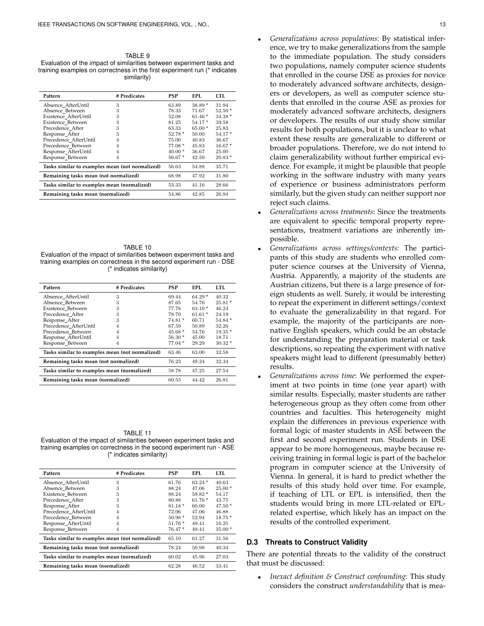<span id="page-12-0"></span>TABLE 9 Evaluation of the impact of similarities between experiment tasks and training examples on correctness in the first experiment run (\* indicates similarity)

| Pattern                                         | # Predicates | PSP      | EPI.     | LTL.     |
|-------------------------------------------------|--------------|----------|----------|----------|
| Absence AfterUntil                              | 3            | 63.89    | $38.89*$ | 31.94    |
| Absence Between                                 | 3            | 78.33    | 71.67    | $52.50*$ |
| Existence AfterUntil                            | 3            | 52.08    | $61.46*$ | $34.38*$ |
| Existence Between                               | 3            | 81.25    | 54.17*   | 39.58    |
| Precedence After                                | 3            | 63.33    | $65.00*$ | 25.83    |
| Response_After                                  | 3            | $52.78*$ | 50.00    | 54.17*   |
| Precedence AfterUntil                           | 4            | 75.00    | 40.83    | 36.67    |
| Precedence Between                              | 4            | $77.08*$ | 45.83    | $16.67*$ |
| Response_AfterUntil                             | 4            | $40.00*$ | 36.67    | 25.00    |
| Response Between                                | 4            | $56.67*$ | 42.50    | $20.83*$ |
| Tasks similar to examples mean (not normalized) |              | 56.63    | 54.88    | 35.71    |
| Remaining tasks mean (not normalized)           |              | 68.98    | 47.92    | 31.80    |
| Tasks similar to examples mean (normalized)     |              | 53.33    | 41.16    | 28.66    |
| Remaining tasks mean (normalized)               |              | 54.86    | 42.85    | 26.94    |

<span id="page-12-1"></span>TABLE 10 Evaluation of the impact of similarities between experiment tasks and training examples on correctness in the second experiment run - DSE (\* indicates similarity)

| Pattern                                         | # Predicates | PSP      | EPL.     | LTL.     |
|-------------------------------------------------|--------------|----------|----------|----------|
| Absence_AfterUntil                              | 3            | 69.44    | $64.29*$ | 40.32    |
| Absence Between                                 | 3            | 87.65    | 54.76    | $25.81*$ |
| Existence_Between                               | 3            | 77.78    | $63.10*$ | 46.24    |
| Precedence After                                | 3            | 78.70    | $61.61*$ | 24.19    |
| Response After                                  | 3            | 74.81 *  | 60.71    | $54.84*$ |
| Precedence AfterUntil                           | 4            | 67.59    | 50.89    | 32.26    |
| Precedence Between                              | 4            | $45.68*$ | 54.76    | $19.35*$ |
| Response AfterUntil                             | 4            | $56.30*$ | 45.00    | 18.71    |
| Response_Between                                | 4            | $77.04*$ | 29.29    | $30.32*$ |
| Tasks similar to examples mean (not normalized) |              | 63.46    | 63.00    | 32.58    |
| Remaining tasks mean (not normalized)           |              | 76.23    | 49.24    | 32.34    |
| Tasks similar to examples mean (normalized)     | 58.78        | 47.25    | 27.54    |          |
| Remaining tasks mean (normalized)               |              | 60.55    | 44.42    | 26.81    |

<span id="page-12-2"></span>TABLE 11 Evaluation of the impact of similarities between experiment tasks and training examples on correctness in the second experiment run - ASE (\* indicates similarity)

| Pattern                                         | # Predicates | PSP      | EPL.     | LTL.     |
|-------------------------------------------------|--------------|----------|----------|----------|
| Absence_AfterUntil                              | 3            | 61.76    | $63.24*$ | 40.63    |
| Absence Between                                 | 3            | 88.24    | 47.06    | $25.00*$ |
| Existence Between                               | 3            | 88.24    | $58.82*$ | 54.17    |
| Precedence After                                | 3            | 80.88    | $61.76*$ | 43.75    |
| Response_After                                  | 3            | $81.18*$ | 60.00    | $47.50*$ |
| Precedence AfterUntil                           | 4            | 72.06    | 47.06    | 46.88    |
| Precedence Between                              | 4            | $50.98*$ | 52.94    | $18.75*$ |
| Response_AfterUntil                             | 4            | $51.76*$ | 49.41    | 16.25    |
| Response_Between                                | 4            | 76.47*   | 49.41    | $35.00*$ |
| Tasks similar to examples mean (not normalized) |              | 65.10    | 61.27    | 31.56    |
| Remaining tasks mean (not normalized)           |              | 78.24    | 50.98    | 40.34    |
| Tasks similar to examples mean (normalized)     |              | 60.02    | 45.96    | 27.03    |
| Remaining tasks mean (normalized)               | 62.28        | 46.52    | 33.41    |          |

- *Generalizations across populations*: By statistical inference, we try to make generalizations from the sample to the immediate population. The study considers two populations, namely computer science students that enrolled in the course DSE as proxies for novice to moderately advanced software architects, designers or developers, as well as computer science students that enrolled in the course ASE as proxies for moderately advanced software architects, designers or developers. The results of our study show similar results for both populations, but it is unclear to what extent these results are generalizable to different or broader populations. Therefore, we do not intend to claim generalizability without further empirical evidence. For example, it might be plausible that people working in the software industry with many years of experience or business administrators perform similarly, but the given study can neither support nor reject such claims.
- *Generalizations across treatments*: Since the treatments are equivalent to specific temporal property representations, treatment variations are inherently impossible.
- *Generalizations across settings/contexts*: The participants of this study are students who enrolled computer science courses at the University of Vienna, Austria. Apparently, a majority of the students are Austrian citizens, but there is a large presence of foreign students as well. Surely, it would be interesting to repeat the experiment in different settings/context to evaluate the generalizability in that regard. For example, the majority of the participants are nonnative English speakers, which could be an obstacle for understanding the preparation material or task descriptions, so repeating the experiment with native speakers might lead to different (presumably better) results.
- *Generalizations across time*: We performed the experiment at two points in time (one year apart) with similar results. Especially, master students are rather heterogeneous group as they often come from other countries and faculties. This heterogeneity might explain the differences in previous experience with formal logic of master students in ASE between the first and second experiment run. Students in DSE appear to be more homogeneous, maybe because receiving training in formal logic is part of the bachelor program in computer science at the University of Vienna. In general, it is hard to predict whether the results of this study hold over time. For example, if teaching of LTL or EPL is intensified, then the students would bring in more LTL-related or EPLrelated expertise, which likely has an impact on the results of the controlled experiment.

#### **D.3 Threats to Construct Validity**

There are potential threats to the validity of the construct that must be discussed:

• *Inexact definition & Construct confounding*: This study considers the construct *understandability* that is mea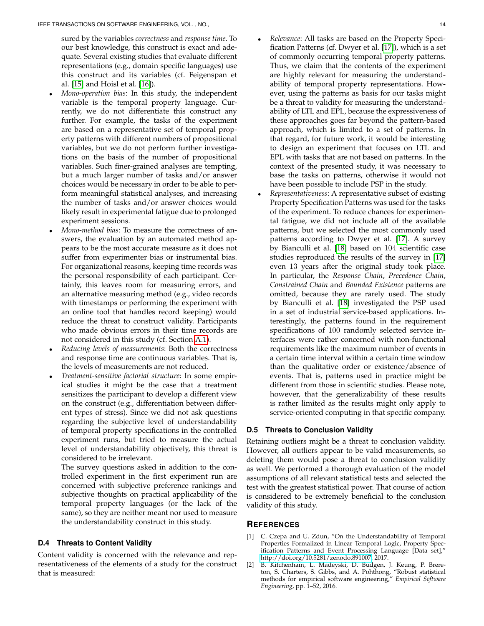sured by the variables *correctness* and *response time*. To our best knowledge, this construct is exact and adequate. Several existing studies that evaluate different representations (e.g., domain specific languages) use this construct and its variables (cf. Feigenspan et al. [\[15\]](#page-14-12) and Hoisl et al. [\[16\]](#page-14-13)).

- *Mono-operation bias*: In this study, the independent variable is the temporal property language. Currently, we do not differentiate this construct any further. For example, the tasks of the experiment are based on a representative set of temporal property patterns with different numbers of propositional variables, but we do not perform further investigations on the basis of the number of propositional variables. Such finer-grained analyses are tempting, but a much larger number of tasks and/or answer choices would be necessary in order to be able to perform meaningful statistical analyses, and increasing the number of tasks and/or answer choices would likely result in experimental fatigue due to prolonged experiment sessions.
- *Mono-method bias*: To measure the correctness of answers, the evaluation by an automated method appears to be the most accurate measure as it does not suffer from experimenter bias or instrumental bias. For organizational reasons, keeping time records was the personal responsibility of each participant. Certainly, this leaves room for measuring errors, and an alternative measuring method (e.g., video records with timestamps or performing the experiment with an online tool that handles record keeping) would reduce the threat to construct validity. Participants who made obvious errors in their time records are not considered in this study (cf. Section [A.1\)](#page-0-1).
- *Reducing levels of measurements*: Both the correctness and response time are continuous variables. That is, the levels of measurements are not reduced.
- *Treatment-sensitive factorial structure*: In some empirical studies it might be the case that a treatment sensitizes the participant to develop a different view on the construct (e.g., differentiation between different types of stress). Since we did not ask questions regarding the subjective level of understandability of temporal property specifications in the controlled experiment runs, but tried to measure the actual level of understandability objectively, this threat is considered to be irrelevant.

The survey questions asked in addition to the controlled experiment in the first experiment run are concerned with subjective preference rankings and subjective thoughts on practical applicability of the temporal property languages (or the lack of the same), so they are neither meant nor used to measure the understandability construct in this study.

### **D.4 Threats to Content Validity**

Content validity is concerned with the relevance and representativeness of the elements of a study for the construct that is measured:

- *Relevance*: All tasks are based on the Property Specification Patterns (cf. Dwyer et al. [\[17\]](#page-14-14)), which is a set of commonly occurring temporal property patterns. Thus, we claim that the contents of the experiment are highly relevant for measuring the understandability of temporal property representations. However, using the patterns as basis for our tasks might be a threat to validity for measuring the understandability of LTL and EPL, because the expressiveness of these approaches goes far beyond the pattern-based approach, which is limited to a set of patterns. In that regard, for future work, it would be interesting to design an experiment that focuses on LTL and EPL with tasks that are not based on patterns. In the context of the presented study, it was necessary to base the tasks on patterns, otherwise it would not have been possible to include PSP in the study.
- *Representativeness*: A representative subset of existing Property Specification Patterns was used for the tasks of the experiment. To reduce chances for experimental fatigue, we did not include all of the available patterns, but we selected the most commonly used patterns according to Dwyer et al. [\[17\]](#page-14-14). A survey by Bianculli et al. [\[18\]](#page-14-15) based on 104 scientific case studies reproduced the results of the survey in [\[17\]](#page-14-14) even 13 years after the original study took place. In particular, the *Response Chain*, *Precedence Chain*, *Constrained Chain* and *Bounded Existence* patterns are omitted, because they are rarely used. The study by Bianculli et al. [\[18\]](#page-14-15) investigated the PSP used in a set of industrial service-based applications. Interestingly, the patterns found in the requirement specifications of 100 randomly selected service interfaces were rather concerned with non-functional requirements like the maximum number of events in a certain time interval within a certain time window than the qualitative order or existence/absence of events. That is, patterns used in practice might be different from those in scientific studies. Please note, however, that the generalizability of these results is rather limited as the results might only apply to service-oriented computing in that specific company.

## **D.5 Threats to Conclusion Validity**

Retaining outliers might be a threat to conclusion validity. However, all outliers appear to be valid measurements, so deleting them would pose a threat to conclusion validity as well. We performed a thorough evaluation of the model assumptions of all relevant statistical tests and selected the test with the greatest statistical power. That course of action is considered to be extremely beneficial to the conclusion validity of this study.

#### **REFERENCES**

- <span id="page-13-0"></span>[1] C. Czepa and U. Zdun, "On the Understandability of Temporal Properties Formalized in Linear Temporal Logic, Property Specification Patterns and Event Processing Language [Data set]," [http://doi.org/10.5281/zenodo.891007,](http://doi.org/10.5281/zenodo.891007) 2017.
- <span id="page-13-1"></span>[2] B. Kitchenham, L. Madeyski, D. Budgen, J. Keung, P. Brereton, S. Charters, S. Gibbs, and A. Pohthong, "Robust statistical methods for empirical software engineering," *Empirical Software Engineering*, pp. 1–52, 2016.